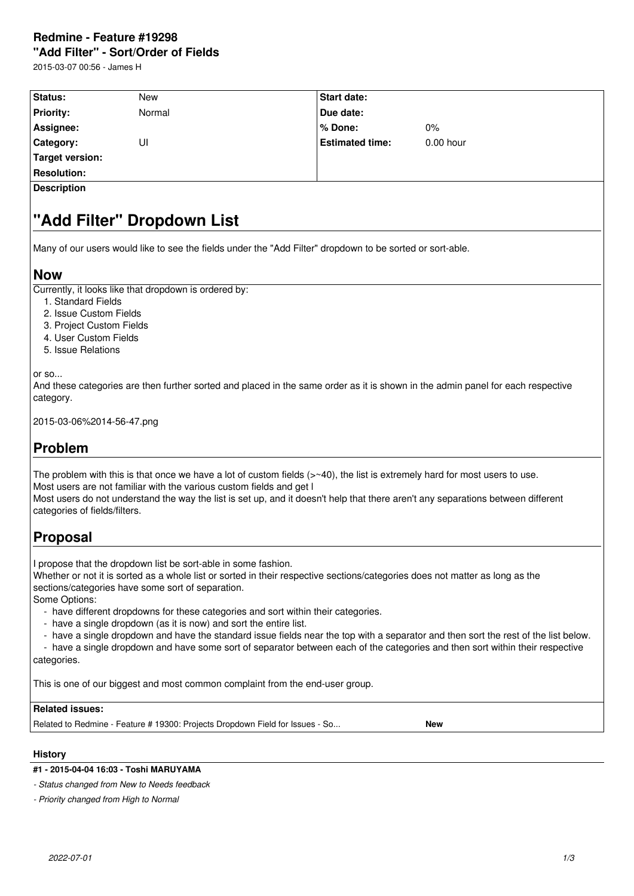# **Redmine - Feature #19298**

**"Add Filter" - Sort/Order of Fields**

2015-03-07 00:56 - James H

| Status:            | <b>New</b> | <b>Start date:</b>     |             |  |  |
|--------------------|------------|------------------------|-------------|--|--|
| <b>Priority:</b>   | Normal     | Due date:              |             |  |  |
| Assignee:          |            | % Done:                | 0%          |  |  |
| Category:          | UI         | <b>Estimated time:</b> | $0.00$ hour |  |  |
| Target version:    |            |                        |             |  |  |
| <b>Resolution:</b> |            |                        |             |  |  |
| <b>Description</b> |            |                        |             |  |  |

# **"Add Filter" Dropdown List**

Many of our users would like to see the fields under the "Add Filter" dropdown to be sorted or sort-able.

### **Now**

Currently, it looks like that dropdown is ordered by:

- 1. Standard Fields
- 2. Issue Custom Fields
- 3. Project Custom Fields
- 4. User Custom Fields
- 5. Issue Relations

or so...

And these categories are then further sorted and placed in the same order as it is shown in the admin panel for each respective category.

2015-03-06%2014-56-47.png

## **Problem**

The problem with this is that once we have a lot of custom fields  $(>=40)$ , the list is extremely hard for most users to use. Most users are not familiar with the various custom fields and get I

Most users do not understand the way the list is set up, and it doesn't help that there aren't any separations between different categories of fields/filters.

## **Proposal**

I propose that the dropdown list be sort-able in some fashion.

Whether or not it is sorted as a whole list or sorted in their respective sections/categories does not matter as long as the sections/categories have some sort of separation.

Some Options:

- have different dropdowns for these categories and sort within their categories.

- have a single dropdown (as it is now) and sort the entire list.
- have a single dropdown and have the standard issue fields near the top with a separator and then sort the rest of the list below.

 - have a single dropdown and have some sort of separator between each of the categories and then sort within their respective categories.

This is one of our biggest and most common complaint from the end-user group.

## **Related issues:**

Related to Redmine - Feature # 19300: Projects Dropdown Field for Issues - So... **New**

#### **History**

#### **#1 - 2015-04-04 16:03 - Toshi MARUYAMA**

*- Status changed from New to Needs feedback*

*- Priority changed from High to Normal*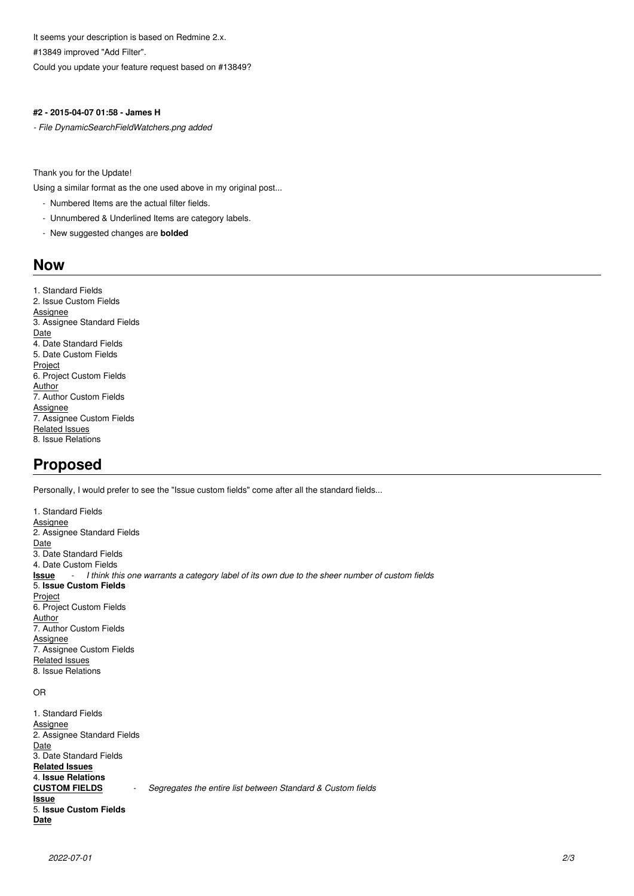It seems your description is based on Redmine 2.x. #13849 improved "Add Filter".

Could you update your feature request based on #13849?

#### **#2 - 2015-04-07 01:58 - James H**

*- File DynamicSearchFieldWatchers.png added*

Thank you for the Update!

Using a similar format as the one used above in my original post...

- Numbered Items are the actual filter fields.
- Unnumbered & Underlined Items are category labels.
- New suggested changes are **bolded**

### **Now**

1. Standard Fields 2. Issue Custom Fields **Assignee** 3. Assignee Standard Fields Date 4. Date Standard Fields 5. Date Custom Fields Project 6. Project Custom Fields **Author** 7. Author Custom Fields **Assignee** 7. Assignee Custom Fields Related Issues 8. Issue Relations

## **Proposed**

Personally, I would prefer to see the "Issue custom fields" come after all the standard fields...

1. Standard Fields Assignee 2. Assignee Standard Fields Date 3. Date Standard Fields 4. Date Custom Fields **Issue** - *I think this one warrants a category label of its own due to the sheer number of custom fields* 5. **Issue Custom Fields Project** 6. Project Custom Fields **Author** 7. Author Custom Fields Assignee 7. Assignee Custom Fields Related Issues 8. Issue Relations

#### OR

1. Standard Fields **Assignee** 2. Assignee Standard Fields Date 3. Date Standard Fields **Related Issues** 4. **Issue Relations** Segregates the entire list between Standard & Custom fields **Issue** 5. **Issue Custom Fields Date**